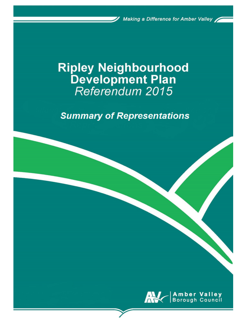Making a Difference for Amber Valley

# **Ripley Neighbourhood** Development Plan<br>Referendum 2015

**Summary of Representations** 

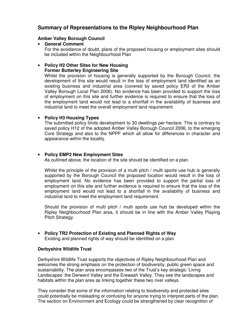# **Summary of Representations to the Ripley Neighbourhood Plan**

#### **Amber Valley Borough Council**

• **General Comment**  For the avoidance of doubt, plans of the proposed housing or employment sites should be included within the Neighbourhood Plan

#### • **Policy H2 Other Sites for New Housing Former Butterley Engineering Site**

Whilst the provision of housing is generally supported by the Borough Council, the development of this site would result in the loss of employment land identified as an existing business and industrial area (covered by saved policy ER3 of the Amber Valley Borough Local Plan 2006). No evidence has been provided to support the loss of employment on this site and further evidence is required to ensure that the loss of the employment land would not lead to a shortfall in the availability of business and industrial land to meet the overall employment land requirement.

# • **Policy H3 Housing Types**

The submitted policy limits development to 30 dwellings per hectare. This is contrary to saved policy H12 of the adopted Amber Valley Borough Council 2006, to the emerging Core Strategy and also to the NPPF which all allow for differences in character and appearance within the locality.

# • **Policy EMP2 New Employment Sites**

As outlined above, the location of the site should be identified on a plan.

Whilst the principle of the provision of a multi pitch / multi sports use hub is generally supported by the Borough Council the proposed location would result in the loss of employment land. No evidence has been provided to support the partial loss of employment on this site and further evidence is required to ensure that the loss of the employment land would not lead to a shortfall in the availability of business and industrial land to meet the employment land requirement.

Should the provision of multi pitch / multi sports use hub be developed within the Ripley Neighbourhood Plan area, it should be in line with the Amber Valley Playing Pitch Strategy.

• **Policy TR2 Protection of Existing and Planned Rights of Way**  Existing and planned rights of way should be identified on a plan

# **Derbyshire Wildlife Trust**

Derbyshire Wildlife Trust supports the objectives of Ripley Neighbourhood Plan and welcomes the strong emphasis on the protection of biodiversity, public green space and sustainability. The plan area encompasses two of the Trust's key strategic 'Living Landscapes' the Derwent Valley and the Erewash Valley. They see the landscapes and habitats within the plan area as linking together these two river valleys.

They consider that some of the information relating to biodiversity and protected sites could potentially be misleading or confusing for anyone trying to interpret parts of the plan. The section on Environment and Ecology could be strengthened by clear recognition of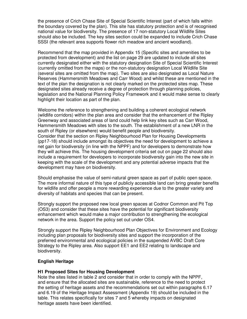the presence of Crich Chase Site of Special Scientific Interest (part of which falls within the boundary covered by the plan). This site has statutory protection and is of recognised national value for biodiversity. The presence of 17 non-statutory Local Wildlife Sites should also be included. The key sites section could be expanded to include Crich Chase SSSI (the relevant area supports flower rich meadow and ancient woodland).

Recommend that the map provided in Appendix 15 (Specific sites and amenities to be protected from development) and the list on page 29 are updated to include all sites currently designated either with the statutory designation Site of Special Scientific Interest (currently omitted from the maps) or the non-statutory designation Local Wildlife Site (several sites are omitted from the map). Two sites are also designated as Local Nature Reserves (Hammersmith Meadows and Carr Wood) and whilst these are mentioned in the text of the plan the designation is not clearly marked on the protected sites map. These designated sites already receive a degree of protection through planning policies, legislation and the National Planning Policy Framework and it would make sense to clearly highlight their location as part of the plan.

Welcome the reference to strengthening and building a coherent ecological network (wildlife corridors) within the plan area and consider that the enhancement of the Ripley Greenway and associated areas of land could help link key sites such as Carr Wood, Hammersmith Meadows with sites to the south. The establishment of a new LNR in the south of Ripley (or elsewhere) would benefit people and biodiversity. Consider that the section on Ripley Neighbourhood Plan for Housing Developments (pp17-18) should include amongst its objectives the need for development to achieve a net gain for biodiversity (in line with the NPPF) and for developers to demonstrate how they will achieve this. The housing development criteria set out on page 22 should also include a requirement for developers to incorporate biodiversity gain into the new site in keeping with the scale of the development and any potential adverse impacts that the development may have on biodiversity.

Should emphasise the value of semi-natural green space as part of public open space. The more informal nature of this type of publicly accessible land can bring greater benefits for wildlife and offer people a more rewarding experience due to the greater variety and diversity of habitats and species that can be present.

Strongly support the proposed new local green spaces at Codnor Common and Pit Top (OS3) and consider that these sites have the potential for significant biodiversity enhancement which would make a major contribution to strengthening the ecological network in the area. Support the policy set out under OS4.

Strongly support the Ripley Neighbourhood Plan Objectives for Environment and Ecology including plan proposals for biodiversity sites and support the incorporation of the preferred environmental and ecological policies in the suspended AVBC Draft Core Strategy to the Ripley area. Also support EE1 and EE2 relating to landscape and biodiversity.

#### **English Heritage**

#### **H1 Proposed Sites for Housing Development**

Note the sites listed in table 2 and consider that in order to comply with the NPPF, and ensure that the allocated sites are sustainable, reference to the need to protect the setting of heritage assets and the recommendations set out within paragraphs 6.17 and 6.19 of the Heritage Impact Assessment (Appendix 19) should be included in the table. This relates specifically for sites 7 and 5 whereby impacts on designated heritage assets have been identified.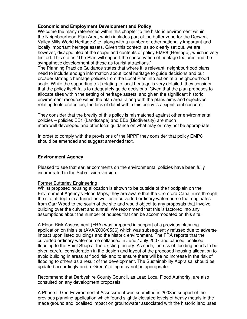## **Economic and Employment Development and Policy**

Welcome the many references within this chapter to the historic environment within the Neighbourhood Plan Area, which includes part of the buffer zone for the Derwent Valley Mills World Heritage Site, along with a number of other nationally important and locally important heritage assets. Given this context, as so clearly set out, we are however, disappointed at the scope and contents of policy EMP8 (Heritage), which is very limited. This states "The Plan will support the conservation of heritage features and the sympathetic development of these as tourist attractions."

The Planning Practice Guidance states that where it is relevant, neighbourhood plans need to include enough information about local heritage to guide decisions and put broader strategic heritage policies from the Local Plan into action at a neighbourhood scale. While the supporting text relating to local heritage is very detailed, they consider that the policy itself fails to adequately guide decisions. Given that the plan proposes to allocate sites within the setting of heritage assets, and given the significant historic environment resource within the plan area, along with the plans aims and objectives relating to its protection, the lack of detail within this policy is a significant concern.

They consider that the brevity of this policy is mismatched against other environmental policies – policies EE1 (Landscape) and EE2 (Biodiversity) are much more well developed and offer local guidance on what may or may not be appropriate.

In order to comply with the provisions of the NPPF they consider that policy EMP8 should be amended and suggest amended text.

#### **Environment Agency**

Pleased to see that earlier comments on the environmental policies have been fully incorporated in the Submission version.

#### Former Butterley Engineering

Whilst proposed housing allocation is shown to be outside of the floodplain on the Environment Agency's Flood Maps, they are aware that the Cromford Canal runs through the site at depth in a tunnel as well as a culverted ordinary watercourse that originates from Carr Wood to the south of the site and would object to any proposals that involve building over the culvert and tunnel. We recommend that this is factored into any assumptions about the number of houses that can be accommodated on this site.

A Flood Risk Assessment (FRA) was prepared in support of a previous planning application on this site (AVA/2008/0536) which was subsequently refused due to adverse impact upon listed buildings and the historic environment. The FRA reports that the culverted ordinary watercourse collapsed in June / July 2007 and caused localised flooding to the Paint Shop at the existing factory. As such, the risk of flooding needs to be given careful consideration in the design and layout of the proposed housing allocation to avoid building in areas at flood risk and to ensure there will be no increase in the risk of flooding to others as a result of the development. The Sustainability Appraisal should be updated accordingly and a 'Green' rating may not be appropriate.

Recommend that Derbyshire County Council, as Lead Local Flood Authority, are also consulted on any development proposals.

A Phase II Geo-Environmental Assessment was submitted in 2008 in support of the previous planning application which found slightly elevated levels of heavy metals in the made ground and localised impact on groundwater associated with the historic land uses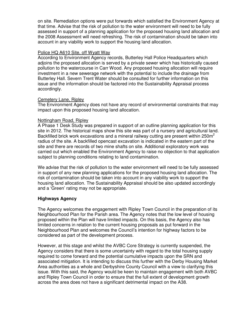on site. Remediation options were put forwards which satisfied the Environment Agency at that time. Advise that the risk of pollution to the water environment will need to be fully assessed in support of a planning application for the proposed housing land allocation and the 2008 Assessment will need refreshing. The risk of contamination should be taken into account in any viability work to support the housing land allocation.

#### Police HQ A610 Site, off Wyatt Way

According to Environment Agency records, Butterley Hall Police Headquarters which adjoins the proposed allocation is served by a private sewer which has historically caused pollution to the watercourse in Carr Wood. Any proposed housing allocation will require investment in a new sewerage network with the potential to include the drainage from Butterley Hall. Severn Trent Water should be consulted for further information on this issue and the information should be factored into the Sustainability Appraisal process accordingly.

#### Cemetery Lane, Ripley

The Environment Agency does not have any record of environmental constraints that may impact upon this proposed housing land allocation.

#### Nottingham Road, Ripley

A Phase 1 Desk Study was prepared in support of an outline planning application for this site in 2012. The historical maps show this site was part of a nursery and agricultural land. Backfilled brick work excavations and a mineral railway cutting are present within 250 $m<sup>2</sup>$ radius of the site. A backfilled opencast excavation is indicated in the eastern part of the site and there are records of two mine shafts on site. Additional exploratory work was carried out which enabled the Environment Agency to raise no objection to that application subject to planning conditions relating to land contamination.

We advise that the risk of pollution to the water environment will need to be fully assessed in support of any new planning applications for the proposed housing land allocation. The risk of contamination should be taken into account in any viability work to support the housing land allocation. The Sustainability Appraisal should be also updated accordingly and a 'Green' rating may not be appropriate.

#### **Highways Agency**

The Agency welcomes the engagement with Ripley Town Council in the preparation of its Neighbourhood Plan for the Parish area. The Agency notes that the low level of housing proposed within the Plan will have limited impacts. On this basis, the Agency also has limited concerns in relation to the current housing proposals as put forward in the Neighbourhood Plan and welcomes the Council's intention for highway factors to be considered as part of the development process.

However, at this stage and whilst the AVBC Core Strategy is currently suspended, the Agency considers that there is some uncertainty with regard to the total housing supply required to come forward and the potential cumulative impacts upon the SRN and associated mitigation. It is intending to discuss this further with the Derby Housing Market Area authorities as a whole and Derbyshire County Council with a view to clarifying this issue. With this said, the Agency would be keen to maintain engagement with both AVBC and Ripley Town Council in order to ensure that the full extent of development growth across the area does not have a significant detrimental impact on the A38.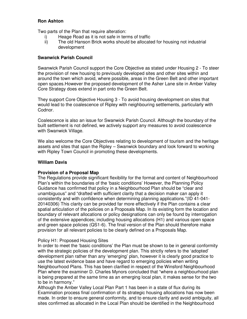# **Ron Ashton**

Two parts of the Plan that require alteration:

- i) Heage Road as it is not safe in terms of traffic
- ii) The old Hanson Brick works should be allocated for housing not industrial development

# **Swanwick Parish Council**

Swanwick Parish Council support the Core Objective as stated under Housing 2 - To steer the provision of new housing to previously developed sites and other sites within and around the town which avoid, where possible, areas in the Green Belt and other important open spaces.However the proposed development of the Asher Lane site in Amber Valley Core Strategy does extend in part onto the Green Belt.

They support Core Objective Housing 3 - To avoid housing development on sites that would lead to the coalescence of Ripley with neighbouring settlements, particularly with Codnor.

Coalescence is also an issue for Swanwick Parish Council. Although the boundary of the built settlement is not defined, we actively support any measures to avoid coalescence with Swanwick Village.

We also welcome the Core Objectives relating to development of tourism and the heritage assets and sites that span the Ripley – Swanwick boundary and look forward to working with Ripley Town Council in promoting these developments.

## **William Davis**

#### **Provision of a Proposal Map**

The Regulations provide significant flexibility for the format and content of Neighbourhood Plan's within the boundaries of the 'basic conditions' However, the Planning Policy Guidance has confirmed that policy in a Neighbourhood Plan should be "clear and unambiguous" and "drafted with sufficient clarity that a decision maker can apply it consistently and with confidence when determining planning applications."(ID 41-041- 20140306) This clarity can be provided far more effectively if the Plan contains a clear spatial articulation of the policies on a Proposals Map. In its existing form the location and boundary of relevant allocations or policy designations can only be found by interrogation of the extensive appendices; including housing allocations (H1) and various open space and green space policies (QS1-6). The final version of the Plan should therefore make provision for all relevant policies to be clearly defined on a Proposals Map.

# Policy H1: Proposed Housing Sites

In order to meet the 'basic conditions' the Plan must be shown to be in general conformity with the strategic policies of the development plan. This strictly refers to the 'adopted' development plan rather than any 'emerging' plan, however it is clearly good practice to use the latest evidence base and have regard to emerging policies when writing Neighbourhood Plans. This has been clarified in respect of the Winsford Neighbourhood Plan where the examiner D. Charles Mynors concluded that "where a neighbourhood plan is being prepared at the same time as an emerging local plan, it makes sense for the two to be in harmony."

Although the Amber Valley Local Plan Part 1 has been in a state of flux during its Examination process final confirmation of its strategic housing allocations has now been made. In order to ensure general conformity, and to ensure clarity and avoid ambiguity, all sites confirmed as allocated in the Local Plan should be identified in the Neighbourhood